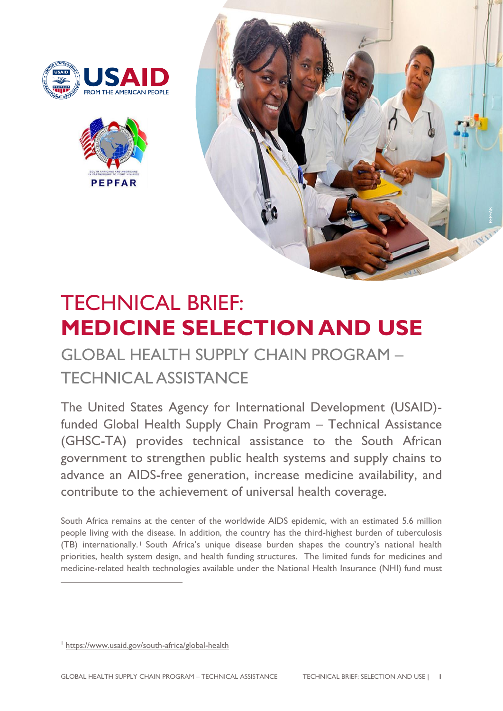





# TECHNICAL BRIEF: **MEDICINE SELECTION AND USE**

GLOBAL HEALTH SUPPLY CHAIN PROGRAM – TECHNICAL ASSISTANCE

The United States Agency for International Development (USAID) funded Global Health Supply Chain Program – Technical Assistance (GHSC-TA) provides technical assistance to the South African government to strengthen public health systems and supply chains to advance an AIDS-free generation, increase medicine availability, and contribute to the achievement of universal health coverage.

South Africa remains at the center of the worldwide AIDS epidemic, with an estimated 5.6 million people living with the disease. In addition, the country has the third-highest burden of tuberculosis (TB) internationally. <sup>1</sup> South Africa's unique disease burden shapes the country's national health priorities, health system design, and health funding structures. The limited funds for medicines and medicine-related health technologies available under the National Health Insurance (NHI) fund must

<sup>1</sup> <https://www.usaid.gov/south-africa/global-health>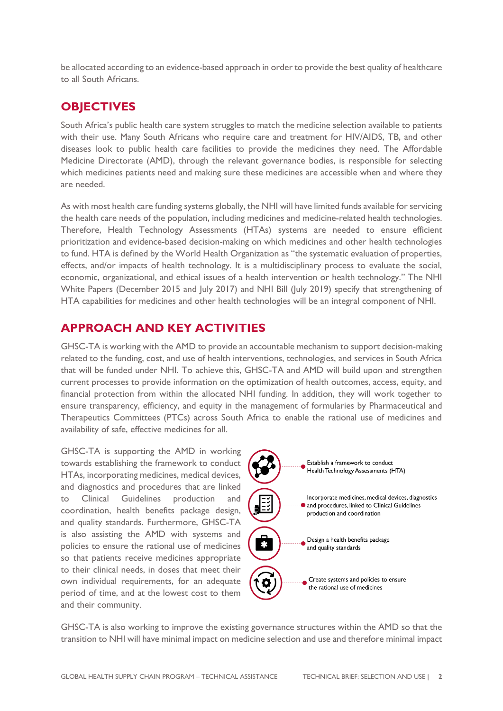be allocated according to an evidence-based approach in order to provide the best quality of healthcare to all South Africans.

#### **OBJECTIVES**

South Africa's public health care system struggles to match the medicine selection available to patients with their use. Many South Africans who require care and treatment for HIV/AIDS, TB, and other diseases look to public health care facilities to provide the medicines they need. The Affordable Medicine Directorate (AMD), through the relevant governance bodies, is responsible for selecting which medicines patients need and making sure these medicines are accessible when and where they are needed.

As with most health care funding systems globally, the NHI will have limited funds available for servicing the health care needs of the population, including medicines and medicine-related health technologies. Therefore, Health Technology Assessments (HTAs) systems are needed to ensure efficient prioritization and evidence-based decision-making on which medicines and other health technologies to fund. HTA is defined by the World Health Organization as "the systematic evaluation of properties, effects, and/or impacts of health technology. It is a multidisciplinary process to evaluate the social, economic, organizational, and ethical issues of a health intervention or health technology." The NHI White Papers (December 2015 and July 2017) and NHI Bill (July 2019) specify that strengthening of HTA capabilities for medicines and other health technologies will be an integral component of NHI.

## **APPROACH AND KEY ACTIVITIES**

GHSC-TA is working with the AMD to provide an accountable mechanism to support decision-making related to the funding, cost, and use of health interventions, technologies, and services in South Africa that will be funded under NHI. To achieve this, GHSC-TA and AMD will build upon and strengthen current processes to provide information on the optimization of health outcomes, access, equity, and financial protection from within the allocated NHI funding. In addition, they will work together to ensure transparency, efficiency, and equity in the management of formularies by Pharmaceutical and Therapeutics Committees (PTCs) across South Africa to enable the rational use of medicines and availability of safe, effective medicines for all.

GHSC-TA is supporting the AMD in working towards establishing the framework to conduct HTAs, incorporating medicines, medical devices, and diagnostics and procedures that are linked to Clinical Guidelines production and coordination, health benefits package design, and quality standards. Furthermore, GHSC-TA is also assisting the AMD with systems and policies to ensure the rational use of medicines so that patients receive medicines appropriate to their clinical needs, in doses that meet their own individual requirements, for an adequate period of time, and at the lowest cost to them and their community.



GHSC-TA is also working to improve the existing governance structures within the AMD so that the transition to NHI will have minimal impact on medicine selection and use and therefore minimal impact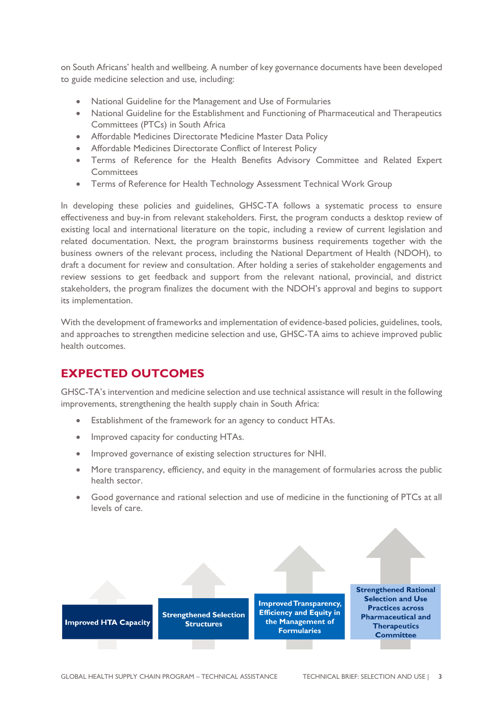on South Africans' health and wellbeing. A number of key governance documents have been developed to guide medicine selection and use, including:

- National Guideline for the Management and Use of Formularies
- National Guideline for the Establishment and Functioning of Pharmaceutical and Therapeutics Committees (PTCs) in South Africa
- Affordable Medicines Directorate Medicine Master Data Policy
- Affordable Medicines Directorate Conflict of Interest Policy
- Terms of Reference for the Health Benefits Advisory Committee and Related Expert **Committees**
- Terms of Reference for Health Technology Assessment Technical Work Group

In developing these policies and guidelines, GHSC-TA follows a systematic process to ensure effectiveness and buy-in from relevant stakeholders. First, the program conducts a desktop review of existing local and international literature on the topic, including a review of current legislation and related documentation. Next, the program brainstorms business requirements together with the business owners of the relevant process, including the National Department of Health (NDOH), to draft a document for review and consultation. After holding a series of stakeholder engagements and review sessions to get feedback and support from the relevant national, provincial, and district stakeholders, the program finalizes the document with the NDOH's approval and begins to support its implementation.

With the development of frameworks and implementation of evidence-based policies, guidelines, tools, and approaches to strengthen medicine selection and use, GHSC-TA aims to achieve improved public health outcomes.

#### **EXPECTED OUTCOMES**

GHSC-TA's intervention and medicine selection and use technical assistance will result in the following improvements, strengthening the health supply chain in South Africa:

- Establishment of the framework for an agency to conduct HTAs.
- Improved capacity for conducting HTAs.
- Improved governance of existing selection structures for NHI.
- More transparency, efficiency, and equity in the management of formularies across the public health sector.
- Good governance and rational selection and use of medicine in the functioning of PTCs at all levels of care.